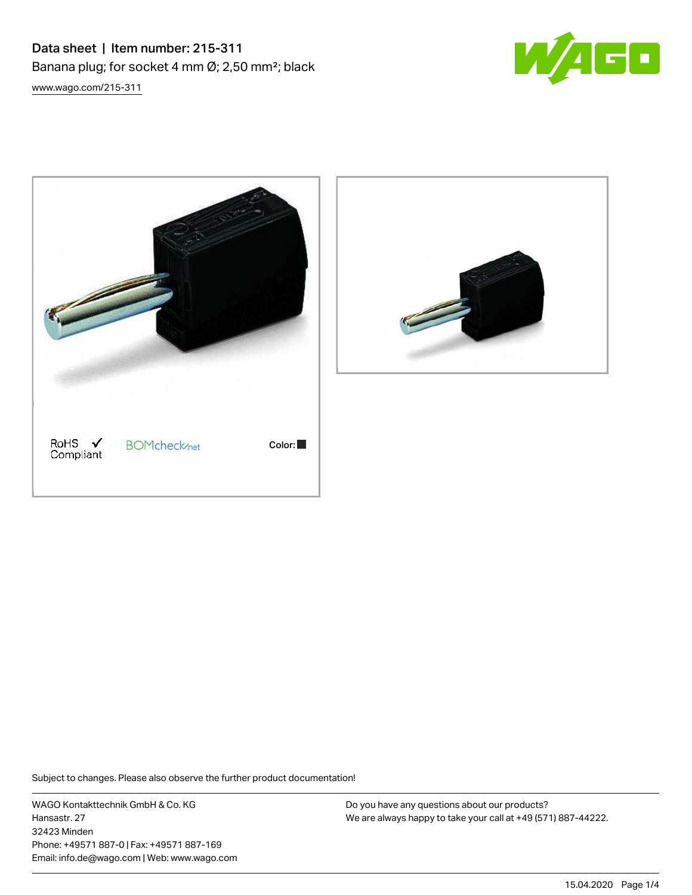Data sheet | Item number: 215-311 Banana plug; for socket 4 mm Ø; 2,50 mm²; black [www.wago.com/215-311](http://www.wago.com/215-311)







Subject to changes. Please also observe the further product documentation!

WAGO Kontakttechnik GmbH & Co. KG Hansastr. 27 32423 Minden Phone: +49571 887-0 | Fax: +49571 887-169 Email: info.de@wago.com | Web: www.wago.com

Do you have any questions about our products? We are always happy to take your call at +49 (571) 887-44222.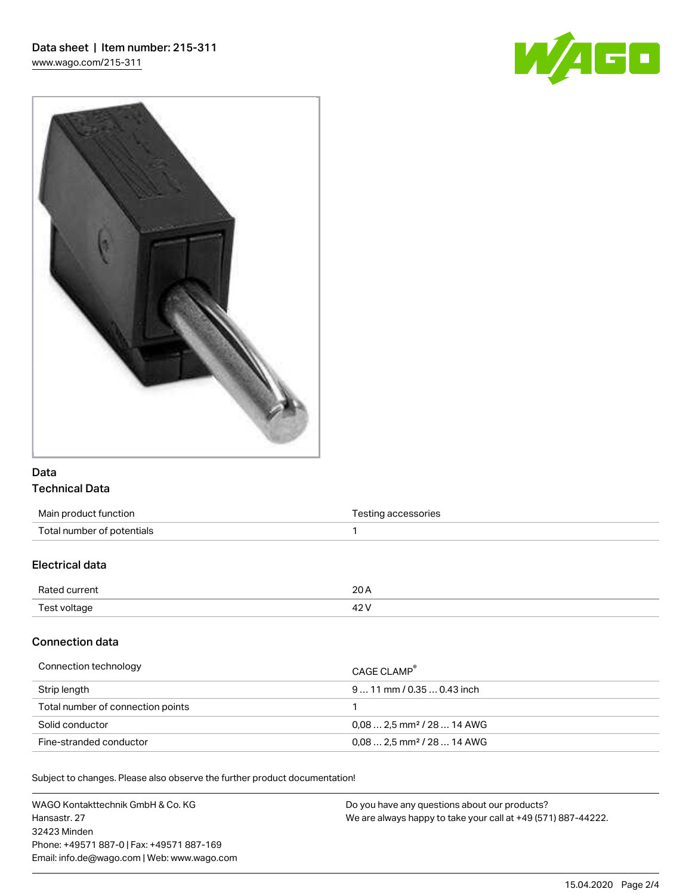



# Data Technical Data

| Main product function      | Testing accessories |
|----------------------------|---------------------|
| Total number of potentials |                     |
|                            |                     |

# Electrical data

| Rated current | ∩∩<br>2U A |
|---------------|------------|
| Test voltage  | 44         |

### Connection data

| Connection technology             | CAGE CLAMP                              |
|-----------------------------------|-----------------------------------------|
| Strip length                      | $911$ mm / 0.35  0.43 inch              |
| Total number of connection points |                                         |
| Solid conductor                   | $0.08$ 2.5 mm <sup>2</sup> / 28  14 AWG |
| Fine-stranded conductor           | $0.08$ 2.5 mm <sup>2</sup> / 28  14 AWG |

Subject to changes. Please also observe the further product documentation!

WAGO Kontakttechnik GmbH & Co. KG Hansastr. 27 32423 Minden Phone: +49571 887-0 | Fax: +49571 887-169 Email: info.de@wago.com | Web: www.wago.com Do you have any questions about our products? We are always happy to take your call at +49 (571) 887-44222.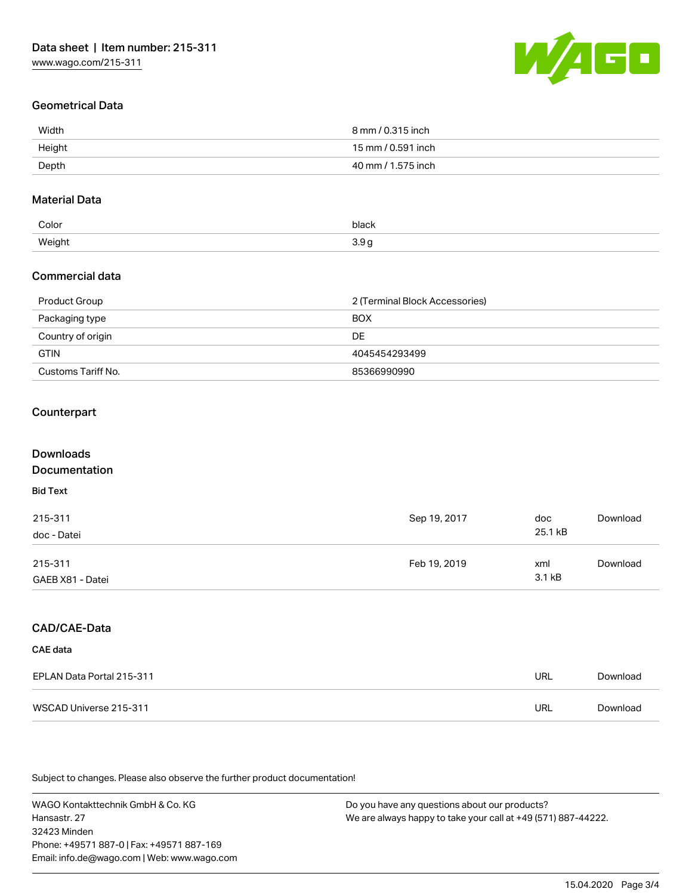

# Geometrical Data

| Width  | 8 mm / 0.315 inch  |
|--------|--------------------|
| Height | 15 mm / 0.591 inch |
| Depth  | 40 mm / 1.575 inch |

# Material Data

| Color  | black<br>. |
|--------|------------|
| Weight | $\ddotsc$  |
| .      |            |

### Commercial data

| Product Group      | 2 (Terminal Block Accessories) |
|--------------------|--------------------------------|
| Packaging type     | <b>BOX</b>                     |
| Country of origin  | DE                             |
| <b>GTIN</b>        | 4045454293499                  |
| Customs Tariff No. | 85366990990                    |

# **Counterpart**

| Downloads            |              |     |
|----------------------|--------------|-----|
| <b>Documentation</b> |              |     |
| <b>Bid Text</b>      |              |     |
| 215-311              | Sep 19, 2017 | doc |

| doc - Datei      |              | 25.1 kB |          |  |
|------------------|--------------|---------|----------|--|
| 215-311          | Feb 19, 2019 | xml     | Download |  |
| GAEB X81 - Datei |              | 3.1 kB  |          |  |

# CAD/CAE-Data

#### CAE data

| EPLAN Data Portal 215-311 | URL | Download |
|---------------------------|-----|----------|
| WSCAD Universe 215-311    | URL | Download |

Subject to changes. Please also observe the further product documentation!

WAGO Kontakttechnik GmbH & Co. KG Hansastr. 27 32423 Minden Phone: +49571 887-0 | Fax: +49571 887-169 Email: info.de@wago.com | Web: www.wago.com

Do you have any questions about our products? We are always happy to take your call at +49 (571) 887-44222.

[Download](https://www.wago.com/de/d/2257717)